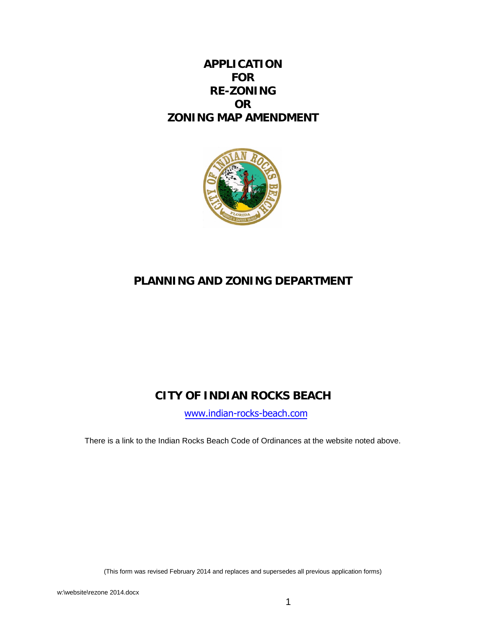## **APPLICATION FOR RE-ZONING OR ZONING MAP AMENDMENT**



# **PLANNING AND ZONING DEPARTMENT**

# **CITY OF INDIAN ROCKS BEACH**

[www.indian-rocks-beach.com](http://www.indian-rocks-beach.com/)

There is a link to the Indian Rocks Beach Code of Ordinances at the website noted above.

(This form was revised February 2014 and replaces and supersedes all previous application forms)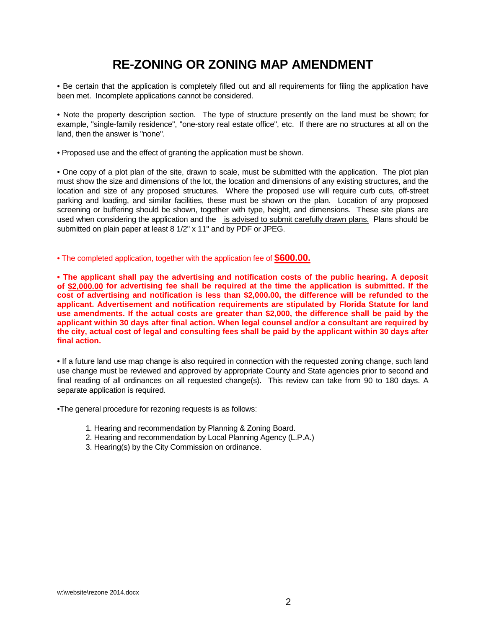# **RE-ZONING OR ZONING MAP AMENDMENT**

• Be certain that the application is completely filled out and all requirements for filing the application have been met. Incomplete applications cannot be considered.

• Note the property description section. The type of structure presently on the land must be shown; for example, "single-family residence", "one-story real estate office", etc. If there are no structures at all on the land, then the answer is "none".

• Proposed use and the effect of granting the application must be shown.

• One copy of a plot plan of the site, drawn to scale, must be submitted with the application. The plot plan must show the size and dimensions of the lot, the location and dimensions of any existing structures, and the location and size of any proposed structures. Where the proposed use will require curb cuts, off-street parking and loading, and similar facilities, these must be shown on the plan. Location of any proposed screening or buffering should be shown, together with type, height, and dimensions. These site plans are used when considering the application and the is advised to submit carefully drawn plans. Plans should be submitted on plain paper at least 8 1/2" x 11" and by PDF or JPEG.

• The completed application, together with the application fee of **\$600.00.**

**• The applicant shall pay the advertising and notification costs of the public hearing. A deposit of \$2,000.00 for advertising fee shall be required at the time the application is submitted. If the cost of advertising and notification is less than \$2,000.00, the difference will be refunded to the applicant. Advertisement and notification requirements are stipulated by Florida Statute for land use amendments. If the actual costs are greater than \$2,000, the difference shall be paid by the applicant within 30 days after final action. When legal counsel and/or a consultant are required by the city, actual cost of legal and consulting fees shall be paid by the applicant within 30 days after final action.**

• If a future land use map change is also required in connection with the requested zoning change, such land use change must be reviewed and approved by appropriate County and State agencies prior to second and final reading of all ordinances on all requested change(s). This review can take from 90 to 180 days. A separate application is required.

•The general procedure for rezoning requests is as follows:

- 1. Hearing and recommendation by Planning & Zoning Board.
- 2. Hearing and recommendation by Local Planning Agency (L.P.A.)
- 3. Hearing(s) by the City Commission on ordinance.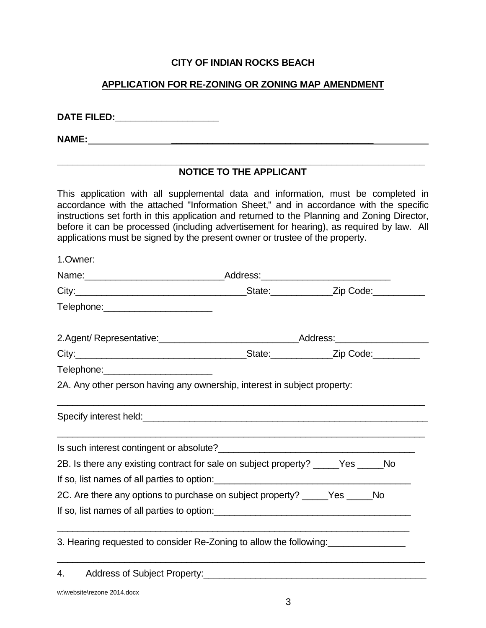## **CITY OF INDIAN ROCKS BEACH**

## **APPLICATION FOR RE-ZONING OR ZONING MAP AMENDMENT**

**DATE FILED:\_\_\_\_\_\_\_\_\_\_\_\_\_\_\_\_\_\_\_\_**

**NAME:**  $\qquad \qquad$ 

#### **\_\_\_\_\_\_\_\_\_\_\_\_\_\_\_\_\_\_\_\_\_\_\_\_\_\_\_\_\_\_\_\_\_\_\_\_\_\_\_\_\_\_\_\_\_\_\_\_\_\_\_\_\_\_\_\_\_\_\_\_\_\_\_\_\_\_\_\_\_\_\_ NOTICE TO THE APPLICANT**

This application with all supplemental data and information, must be completed in accordance with the attached "Information Sheet," and in accordance with the specific instructions set forth in this application and returned to the Planning and Zoning Director, before it can be processed (including advertisement for hearing), as required by law. All applications must be signed by the present owner or trustee of the property.

| 1.Owner:                                                                          |  |  |
|-----------------------------------------------------------------------------------|--|--|
|                                                                                   |  |  |
|                                                                                   |  |  |
| Telephone:________________________                                                |  |  |
|                                                                                   |  |  |
|                                                                                   |  |  |
| Telephone:________________________                                                |  |  |
| 2A. Any other person having any ownership, interest in subject property:          |  |  |
|                                                                                   |  |  |
|                                                                                   |  |  |
| 2B. Is there any existing contract for sale on subject property? _____Yes _____No |  |  |
|                                                                                   |  |  |
| 2C. Are there any options to purchase on subject property? _____Yes ______No      |  |  |
| If so, list names of all parties to option:                                       |  |  |
| 3. Hearing requested to consider Re-Zoning to allow the following:                |  |  |
|                                                                                   |  |  |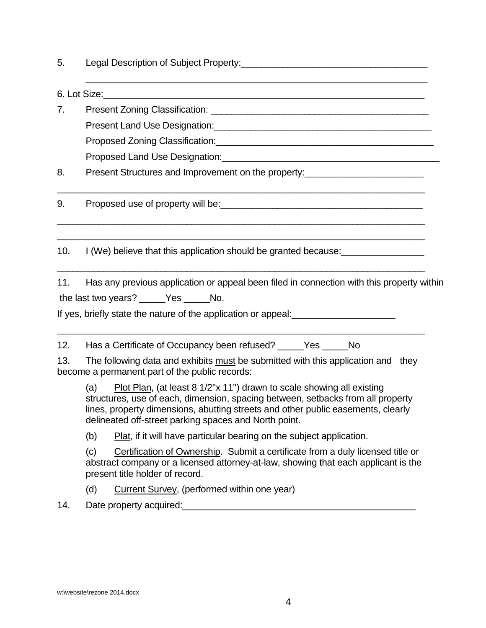| Legal Description of Subject Property: |  |
|----------------------------------------|--|
|                                        |  |

 $6.$  Lot Size:

7. Present Zoning Classification: **Example 2018** Present Land Use Designation:\_\_\_\_\_\_\_\_\_\_\_\_\_\_\_\_\_\_\_\_\_\_\_\_\_\_\_\_\_\_\_\_\_\_\_\_\_\_\_\_\_\_ Proposed Zoning Classification:\_\_\_\_\_\_\_\_\_\_\_\_\_\_\_\_\_\_\_\_\_\_\_\_\_\_\_\_\_\_\_\_\_\_\_\_\_\_\_\_\_\_ Proposed Land Use Designation: University of the USD of the USD of the USD of the USD of the USD of the USD of the USD of the USD of the USD of the USD of the USD of the USD of the USD of the USD of the USD of the USD of t

\_\_\_\_\_\_\_\_\_\_\_\_\_\_\_\_\_\_\_\_\_\_\_\_\_\_\_\_\_\_\_\_\_\_\_\_\_\_\_\_\_\_\_\_\_\_\_\_\_\_\_\_\_\_\_\_\_\_\_\_\_\_\_\_\_\_\_\_\_\_\_

 $\_$  ,  $\_$  ,  $\_$  ,  $\_$  ,  $\_$  ,  $\_$  ,  $\_$  ,  $\_$  ,  $\_$  ,  $\_$  ,  $\_$  ,  $\_$  ,  $\_$  ,  $\_$  ,  $\_$  ,  $\_$  ,  $\_$  ,  $\_$  ,  $\_$  ,  $\_$  ,  $\_$  ,  $\_$  ,  $\_$  ,  $\_$  ,  $\_$  ,  $\_$  ,  $\_$  ,  $\_$  ,  $\_$  ,  $\_$  ,  $\_$  ,  $\_$  ,  $\_$  ,  $\_$  ,  $\_$  ,  $\_$  ,  $\_$  ,  $\_$  ,  $\_$  ,  $\_$  ,  $\_$  ,  $\_$  ,  $\_$  ,  $\_$  ,  $\_$  ,  $\_$  ,  $\_$  ,  $\_$  ,  $\_$  ,  $\_$  ,  $\_$  ,  $\_$  ,  $\_$  ,  $\_$  ,  $\_$  ,  $\_$  ,  $\_$  ,  $\_$  ,  $\_$  ,  $\_$  ,  $\_$  ,  $\_$  ,  $\_$  ,  $\_$  ,  $\_$  ,  $\_$  ,  $\_$  ,  $\_$  ,  $\_$  ,  $\_$  ,  $\_$  ,  $\_$  ,  $\_$  ,  $\_$  ,

\_\_\_\_\_\_\_\_\_\_\_\_\_\_\_\_\_\_\_\_\_\_\_\_\_\_\_\_\_\_\_\_\_\_\_\_\_\_\_\_\_\_\_\_\_\_\_\_\_\_\_\_\_\_\_\_\_\_\_\_\_\_\_\_\_\_\_\_\_\_\_

\_\_\_\_\_\_\_\_\_\_\_\_\_\_\_\_\_\_\_\_\_\_\_\_\_\_\_\_\_\_\_\_\_\_\_\_\_\_\_\_\_\_\_\_\_\_\_\_\_\_\_\_\_\_\_\_\_\_\_\_\_\_\_\_\_\_

8. Present Structures and Improvement on the property:

9. Proposed use of property will be:

10. I (We) believe that this application should be granted because:

11. Has any previous application or appeal been filed in connection with this property within the last two years? \_\_\_\_\_Yes \_\_\_\_\_ No.

If yes, briefly state the nature of the application or appeal: \_\_\_\_\_\_\_\_\_\_\_\_\_\_\_\_\_\_

12. Has a Certificate of Occupancy been refused? Yes No

13. The following data and exhibits must be submitted with this application and they become a permanent part of the public records:

\_\_\_\_\_\_\_\_\_\_\_\_\_\_\_\_\_\_\_\_\_\_\_\_\_\_\_\_\_\_\_\_\_\_\_\_\_\_\_\_\_\_\_\_\_\_\_\_\_\_\_\_\_\_\_\_\_\_\_\_\_\_\_\_\_\_\_\_\_\_\_

(a) Plot Plan, (at least  $8 \frac{1}{2}$ "x 11") drawn to scale showing all existing structures, use of each, dimension, spacing between, setbacks from all property lines, property dimensions, abutting streets and other public easements, clearly delineated off-street parking spaces and North point.

(b) Plat, if it will have particular bearing on the subject application.

(c) Certification of Ownership. Submit a certificate from a duly licensed title or abstract company or a licensed attorney-at-law, showing that each applicant is the present title holder of record.

(d) Current Survey, (performed within one year)

14. Date property acquired:\_\_\_\_\_\_\_\_\_\_\_\_\_\_\_\_\_\_\_\_\_\_\_\_\_\_\_\_\_\_\_\_\_\_\_\_\_\_\_\_\_\_\_\_\_